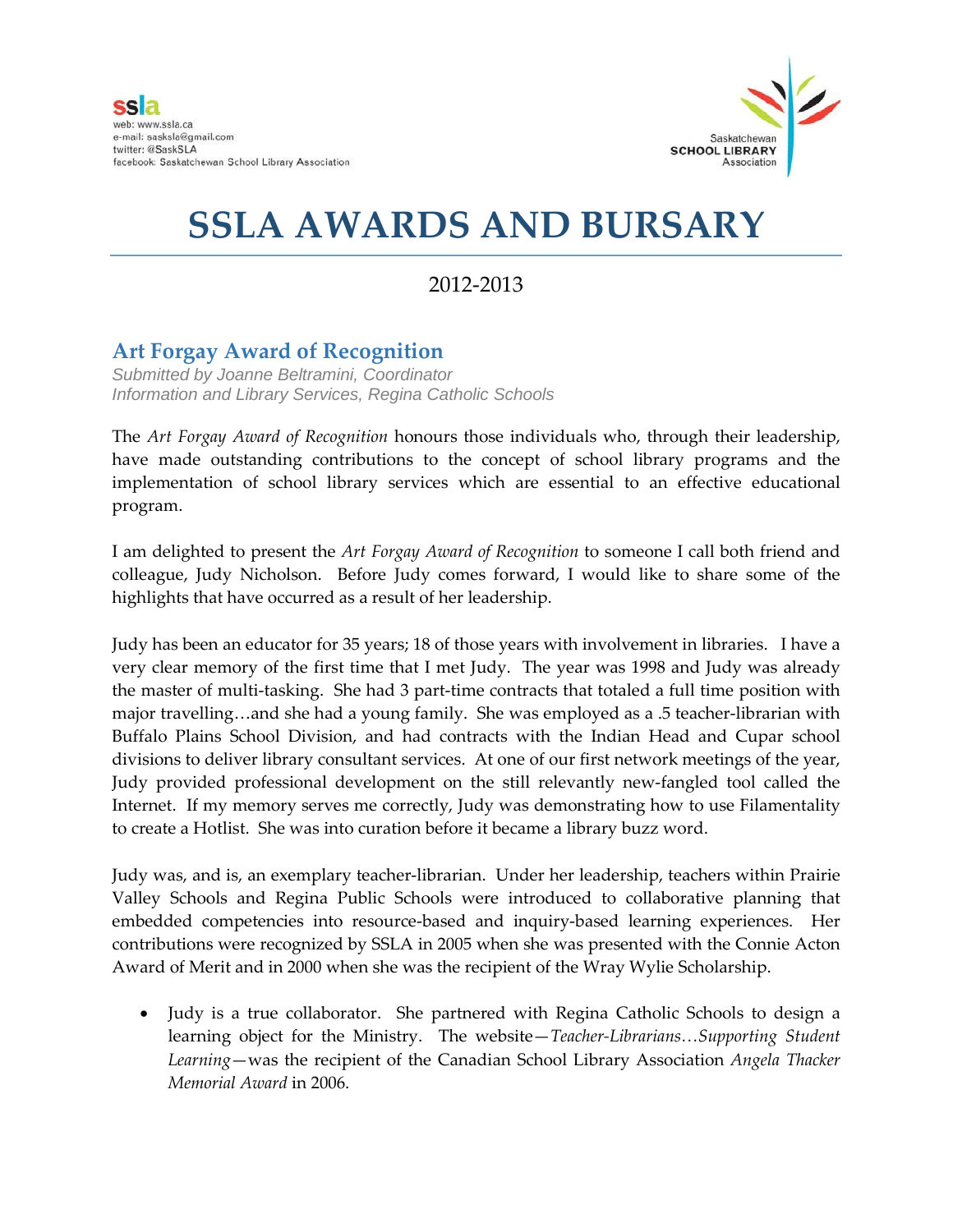

## **SSLA AWARDS AND BURSARY**

## 2012-2013

## **Art Forgay Award of Recognition**

*Submitted by Joanne Beltramini, Coordinator Information and Library Services, Regina Catholic Schools*

The *Art Forgay Award of Recognition* honours those individuals who, through their leadership, have made outstanding contributions to the concept of school library programs and the implementation of school library services which are essential to an effective educational program.

I am delighted to present the *Art Forgay Award of Recognition* to someone I call both friend and colleague, Judy Nicholson. Before Judy comes forward, I would like to share some of the highlights that have occurred as a result of her leadership.

Judy has been an educator for 35 years; 18 of those years with involvement in libraries. I have a very clear memory of the first time that I met Judy. The year was 1998 and Judy was already the master of multi-tasking. She had 3 part-time contracts that totaled a full time position with major travelling…and she had a young family. She was employed as a .5 teacher-librarian with Buffalo Plains School Division, and had contracts with the Indian Head and Cupar school divisions to deliver library consultant services. At one of our first network meetings of the year, Judy provided professional development on the still relevantly new-fangled tool called the Internet. If my memory serves me correctly, Judy was demonstrating how to use Filamentality to create a Hotlist. She was into curation before it became a library buzz word.

Judy was, and is, an exemplary teacher-librarian. Under her leadership, teachers within Prairie Valley Schools and Regina Public Schools were introduced to collaborative planning that embedded competencies into resource-based and inquiry-based learning experiences. Her contributions were recognized by SSLA in 2005 when she was presented with the Connie Acton Award of Merit and in 2000 when she was the recipient of the Wray Wylie Scholarship.

• Judy is a true collaborator. She partnered with Regina Catholic Schools to design a learning object for the Ministry. The website—*Teacher-Librarians…Supporting Student Learning*—was the recipient of the Canadian School Library Association *Angela Thacker Memorial Award* in 2006.